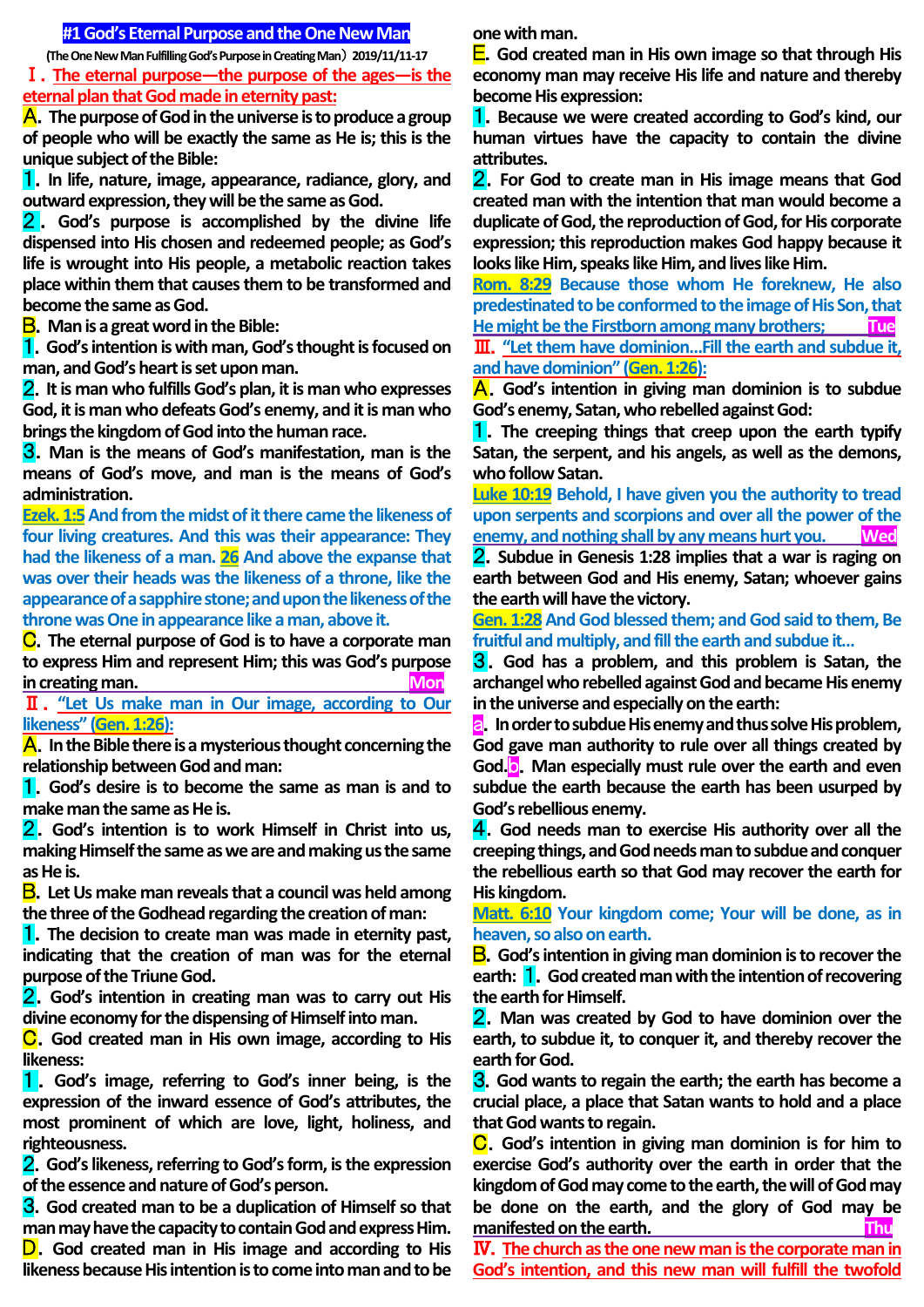## **#1 God's Eternal Purpose and the One New Man**

**(The One New Man Fulfilling God's Purpose in Creating Man**) **2019/11/11-17**

Ⅰ.**The eternal purpose—the purpose of the ages—is the eternal plan that God made in eternity past:**

A.**The purpose of God in the universe is to produce a group of people who will be exactly the same as He is; this is the unique subject of the Bible:**

1.**In life, nature, image, appearance, radiance, glory, and outward expression, they will be the same as God.**

2 . **God's purpose is accomplished by the divine life dispensed into His chosen and redeemed people; as God's life is wrought into His people, a metabolic reaction takes place within them that causes them to be transformed and become the same as God.**

B.**Man is a great word in the Bible:**

1.**God's intention is with man, God's thought is focused on man, and God's heart is set upon man.**

2.**It is man who fulfills God's plan, it is man who expresses God, it is man who defeats God's enemy, and it is man who brings the kingdom of God into the human race.**

3.**Man is the means of God's manifestation, man is the means of God's move, and man is the means of God's administration.** 

**Ezek. 1:5** And from the midst of it there came the likeness of **four living creatures. And this was their appearance: They had the likeness of a man. 26 And above the expanse that was over their heads was the likeness of a throne, like the appearance of a sapphire stone; and upon the likeness of the throne was One in appearance like a man, above it.**

C.**The eternal purpose of God is to have a corporate man to express Him and represent Him; this was God's purpose in creating man. Mon** 

Ⅱ.**"Let Us make man in Our image, according to Our likeness" (Gen. 1:26):**

A.**In the Bible there is a mysterious thought concerning the relationship between God and man:**

1.**God's desire is to become the same as man is and to make man the same as He is.**

2.**God's intention is to work Himself in Christ into us, making Himself the same as we are and making us the same as He is.**

B.**Let Us make man reveals that a council was held among the three of the Godhead regarding the creation of man:**

1.**The decision to create man was made in eternity past, indicating that the creation of man was for the eternal purpose of the Triune God.**

2.**God's intention in creating man was to carry out His divine economy for the dispensing of Himself into man.**

C.**God created man in His own image, according to His likeness:**

1.**God's image, referring to God's inner being, is the expression of the inward essence of God's attributes, the most prominent of which are love, light, holiness, and righteousness.**

2.**God's likeness, referring to God's form, is the expression of the essence and nature of God's person.**

3.**God created man to be a duplication of Himself so that man may have the capacity to contain God and express Him.** D.**God created man in His image and according to His** 

**likeness because His intention is to come into man and to be** 

**one with man.**

E.**God created man in His own image so that through His economy man may receive His life and nature and thereby become His expression:**

1.**Because we were created according to God's kind, our human virtues have the capacity to contain the divine attributes.**

2.**For God to create man in His image means that God created man with the intention that man would become a duplicate of God, the reproduction of God, for His corporate expression; this reproduction makes God happy because it looks like Him, speaks like Him, and lives like Him.**

**Rom. 8:29 Because those whom He foreknew, He also predestinated to be conformed to the image of His Son, that He might be the Firstborn among many brothers; Tue** Ⅲ.**"Let them have dominion…Fill the earth and subdue it, and have dominion" (Gen. 1:26):**

A.**God's intention in giving man dominion is to subdue God's enemy, Satan, who rebelled against God:**

1.**The creeping things that creep upon the earth typify Satan, the serpent, and his angels, as well as the demons, who follow Satan.**

**Luke 10:19 Behold, I have given you the authority to tread upon serpents and scorpions and over all the power of the enemy, and nothing shall by any means hurt you. Wed**

2.**Subdue in Genesis 1:28 implies that a war is raging on earth between God and His enemy, Satan; whoever gains the earth will have the victory.**

Gen. 1:28 And God blessed them; and God said to them, Be **fruitful and multiply, and fill the earth and subdue it…**

3.**God has a problem, and this problem is Satan, the archangel who rebelled against God and became His enemy in the universe and especially on the earth:**

a.**In order to subdue His enemy and thus solve His problem, God gave man authority to rule over all things created by God.**b.**Man especially must rule over the earth and even subdue the earth because the earth has been usurped by God's rebellious enemy.**

4.**God needs man to exercise His authority over all the creeping things, and God needs man to subdue and conquer the rebellious earth so that God may recover the earth for His kingdom.**

**Matt. 6:10 Your kingdom come; Your will be done, as in heaven, so also on earth.**

B.**God's intention in giving man dominion is to recover the earth:** 1.**God created man with the intention of recovering the earth for Himself.**

2.**Man was created by God to have dominion over the earth, to subdue it, to conquer it, and thereby recover the earth for God.**

3.**God wants to regain the earth; the earth has become a crucial place, a place that Satan wants to hold and a place that God wants to regain.**

C.**God's intention in giving man dominion is for him to exercise God's authority over the earth in order that the kingdom of God may come to the earth, the will of God may be done on the earth, and the glory of God may be manifested on the earth.** Thus a state of the earth of the state of the state of the state of the state of the state of the state of the state of the state of the state of the state of the state of the state of the state

Ⅳ.**The church as the one new man is the corporate man in God's intention, and this new man will fulfill the twofold**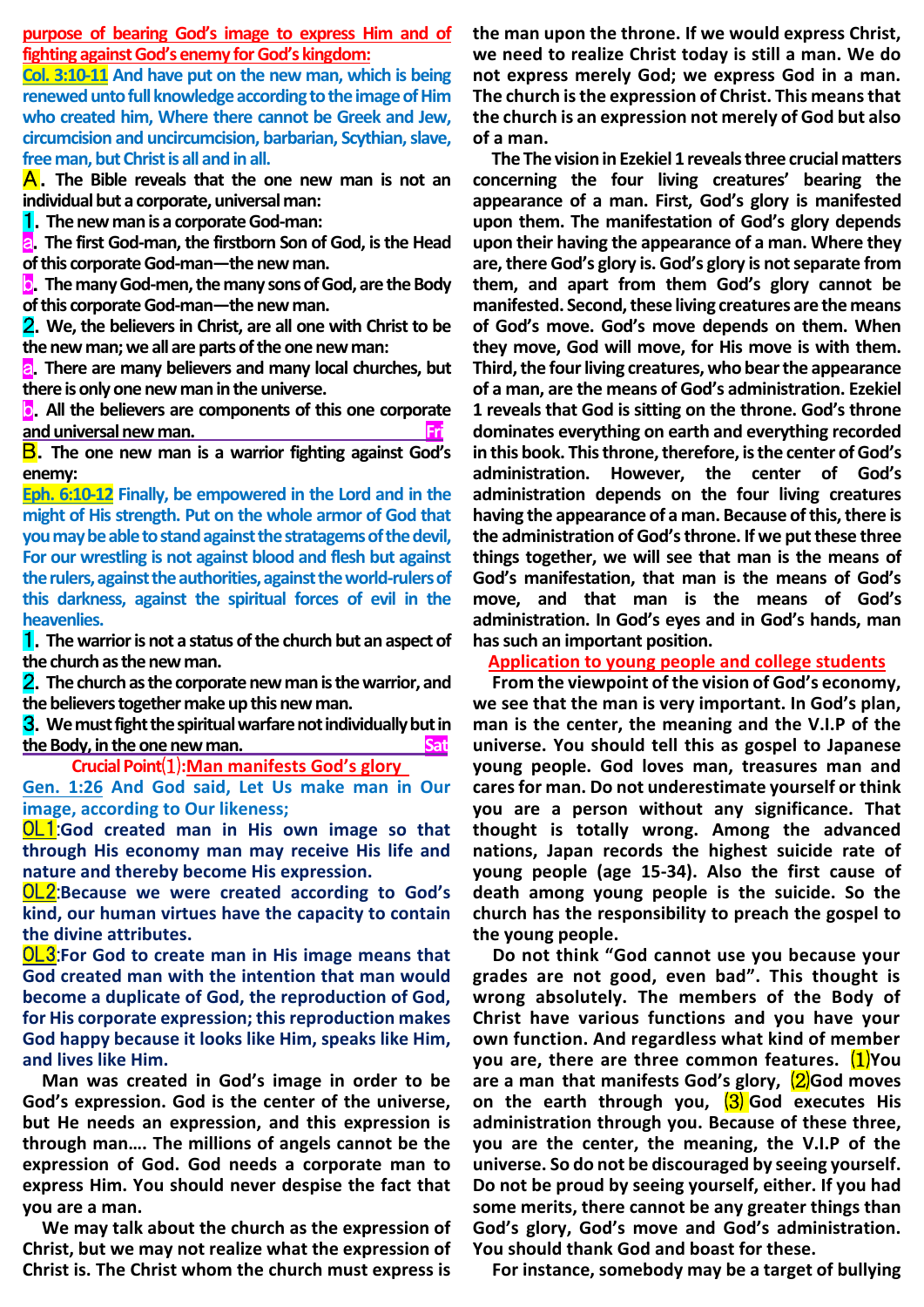**purpose of bearing God's image to express Him and of fighting against God's enemy for God's kingdom:**

**Col. 3:10-11 And have put on the new man, which is being renewed unto full knowledge according to the image of Him who created him, Where there cannot be Greek and Jew, circumcision and uncircumcision, barbarian, Scythian, slave, free man, but Christ is all and in all.** 

A.**The Bible reveals that the one new man is not an individual but a corporate, universal man:**

1.**The new man is a corporate God-man:**

a.**The first God-man, the firstborn Son of God, is the Head of this corporate God-man—the new man.**

b.**The many God-men, the many sons of God, are the Body of this corporate God-man—the new man.**

2.**We, the believers in Christ, are all one with Christ to be the new man; we all are parts of the one new man:**

**a.** There are many believers and many local churches, but **there is only one new man in the universe.**

b.**All the believers are components of this one corporate and universal new man. Fri**

B.**The one new man is a warrior fighting against God's enemy:**

**Eph. 6:10-12 Finally, be empowered in the Lord and in the might of His strength. Put on the whole armor of God that you may be able to stand against the stratagems of the devil, For our wrestling is not against blood and flesh but against the rulers, against the authorities, against the world-rulers of this darkness, against the spiritual forces of evil in the heavenlies.**

1.**The warrior is not a status of the church but an aspect of the church as the new man.**

2.**The church as the corporate new man is the warrior, and the believers together make up this new man.**

3.**We must fight the spiritual warfare not individually but in the Body, in the one new man.** Sat

**Crucial Point**⑴**:Man manifests God's glory**

**Gen. 1:26 And God said, Let Us make man in Our image, according to Our likeness;**

OL1:**God created man in His own image so that through His economy man may receive His life and nature and thereby become His expression.**

OL2:**Because we were created according to God's kind, our human virtues have the capacity to contain the divine attributes.**

OL3:**For God to create man in His image means that God created man with the intention that man would become a duplicate of God, the reproduction of God, for His corporate expression; this reproduction makes God happy because it looks like Him, speaks like Him, and lives like Him.**

**Man was created in God's image in order to be God's expression. God is the center of the universe, but He needs an expression, and this expression is through man…. The millions of angels cannot be the expression of God. God needs a corporate man to express Him. You should never despise the fact that you are a man.**

**We may talk about the church as the expression of Christ, but we may not realize what the expression of Christ is. The Christ whom the church must express is** 

**the man upon the throne. If we would express Christ, we need to realize Christ today is still a man. We do not express merely God; we express God in a man. The church is the expression of Christ. This means that the church is an expression not merely of God but also of a man.**

**The The vision in Ezekiel 1 reveals three crucial matters concerning the four living creatures' bearing the appearance of a man. First, God's glory is manifested upon them. The manifestation of God's glory depends upon their having the appearance of a man. Where they are, there God's glory is. God's glory is not separate from them, and apart from them God's glory cannot be manifested. Second, these living creatures are the means of God's move. God's move depends on them. When they move, God will move, for His move is with them. Third, the four living creatures, who bear the appearance of a man, are the means of God's administration. Ezekiel 1 reveals that God is sitting on the throne. God's throne dominates everything on earth and everything recorded in this book. This throne, therefore, is the center of God's administration. However, the center of God's administration depends on the four living creatures having the appearance of a man. Because of this, there is the administration of God'sthrone. If we put these three things together, we will see that man is the means of God's manifestation, that man is the means of God's move, and that man is the means of God's administration. In God's eyes and in God's hands, man hassuch an important position.** 

**Application to young people and college students**

**From the viewpoint of the vision of God's economy, we see that the man is very important. In God's plan, man is the center, the meaning and the V.I.P of the universe. You should tell this as gospel to Japanese young people. God loves man, treasures man and cares for man. Do not underestimate yourself or think you are a person without any significance. That thought is totally wrong. Among the advanced nations, Japan records the highest suicide rate of young people (age 15-34). Also the first cause of death among young people is the suicide. So the church has the responsibility to preach the gospel to the young people.** 

**Do not think "God cannot use you because your grades are not good, even bad". This thought is wrong absolutely. The members of the Body of Christ have various functions and you have your own function. And regardless what kind of member you are, there are three common features.** ⑴**You are a man that manifests God's glory,** ⑵**God moves on the earth through you,** ⑶ **God executes His administration through you. Because of these three, you are the center, the meaning, the V.I.P of the universe. So do not be discouraged by seeing yourself. Do not be proud by seeing yourself, either. If you had some merits, there cannot be any greater things than God's glory, God's move and God's administration. You should thank God and boast for these.** 

**For instance, somebody may be a target of bullying**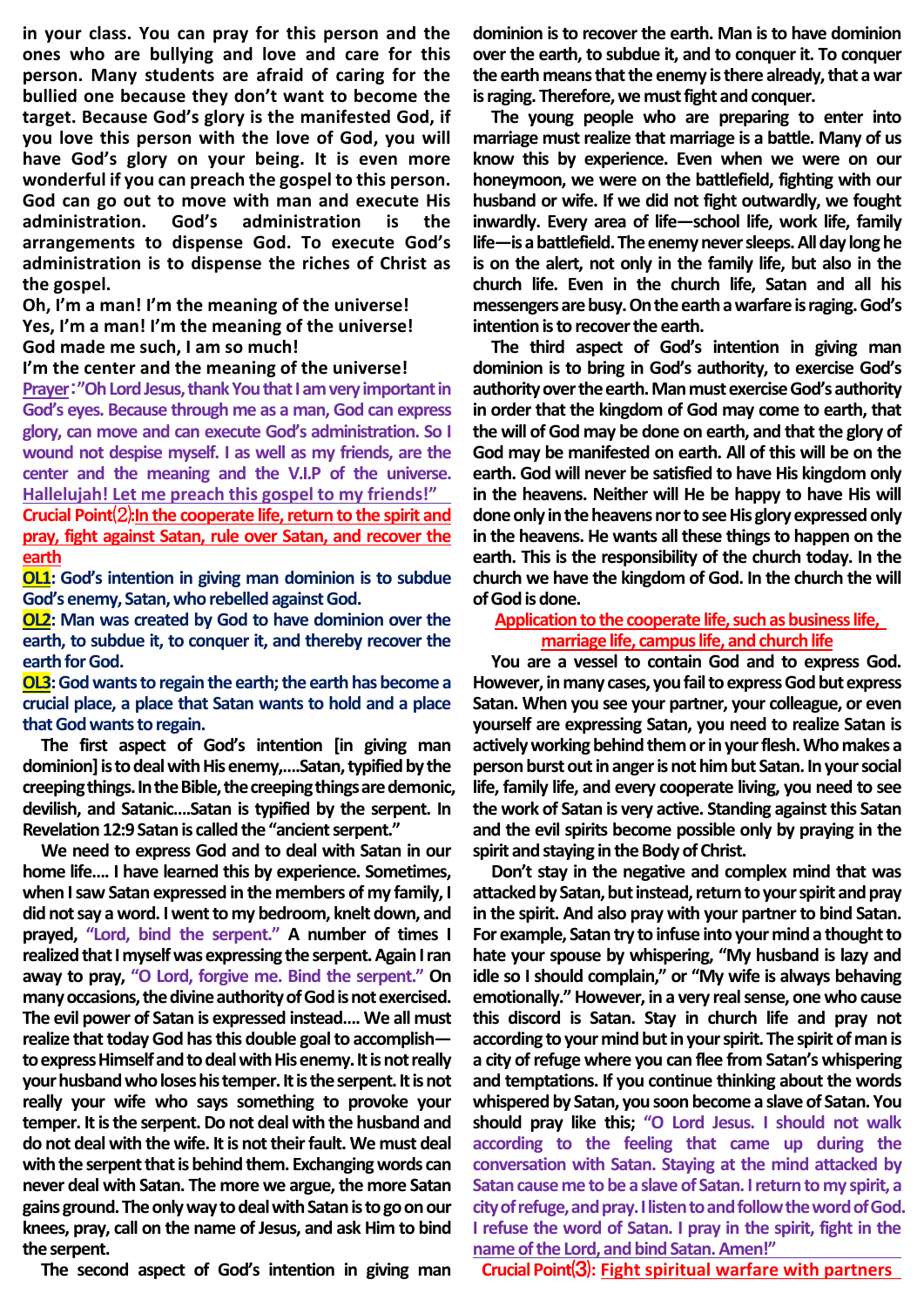**in your class. You can pray for this person and the ones who are bullying and love and care for this person. Many students are afraid of caring for the bullied one because they don't want to become the target. Because God's glory is the manifested God, if you love this person with the love of God, you will have God's glory on your being. It is even more wonderful if you can preach the gospel to this person. God can go out to move with man and execute His administration. God's administration is the arrangements to dispense God. To execute God's administration is to dispense the riches of Christ as the gospel.** 

**Oh, I'm a man! I'm the meaning of the universe! Yes, I'm a man! I'm the meaning of the universe! God made me such, I am so much!**

#### **I'm the center and the meaning of the universe!**

**Prayer**:**"Oh Lord Jesus, thank You that I am very important in God's eyes. Because through me as a man, God can express glory, can move and can execute God's administration. So I wound not despise myself. I as well as my friends, are the center and the meaning and the V.I.P of the universe. Hallelujah! Let me preach this gospel to my friends!" Crucial Point**⑵**:In the cooperate life, return to the spirit and pray, fight against Satan, rule over Satan, and recover the earth**

**OL1: God's intention in giving man dominion is to subdue God's enemy, Satan, who rebelled against God.**

**OL2: Man was created by God to have dominion over the earth, to subdue it, to conquer it, and thereby recover the earth for God.**

## **OL3:** God wants to regain the earth; the earth has become a **crucial place, a place that Satan wants to hold and a place that God wants to regain.**

**The first aspect of God's intention [in giving man dominion] is to deal with His enemy,….Satan, typified by the creeping things. In the Bible, the creeping things are demonic, devilish, and Satanic….Satan is typified by the serpent. In Revelation 12:9 Satan is called the "ancient serpent."**

**We need to express God and to deal with Satan in our home life…. I have learned this by experience. Sometimes, when I saw Satan expressed in the members of my family, I did not say a word. I went to my bedroom, knelt down, and prayed, "Lord, bind the serpent." A number of times I realized that I myself was expressing the serpent. Again I ran away to pray, "O Lord, forgive me. Bind the serpent." On many occasions, the divine authority of God is not exercised. The evil power of Satan is expressed instead…. We all must realize that today God has this double goal to accomplish to express Himself and to deal with His enemy. It is not really your husband who loses his temper. It is the serpent. It is not really your wife who says something to provoke your temper. It is the serpent. Do not deal with the husband and do not deal with the wife. It is not their fault. We must deal with the serpent that is behind them. Exchanging words can never deal with Satan. The more we argue, the more Satan gains ground. The only way to deal with Satan is to go on our knees, pray, call on the name of Jesus, and ask Him to bind the serpent.**

**The second aspect of God's intention in giving man** 

**dominion is to recover the earth. Man is to have dominion over the earth, to subdue it, and to conquer it. To conquer the earth means that the enemy is there already, that a war is raging. Therefore, we must fight and conquer.**

**The young people who are preparing to enter into marriage must realize that marriage is a battle. Many of us know this by experience. Even when we were on our honeymoon, we were on the battlefield, fighting with our husband or wife. If we did not fight outwardly, we fought inwardly. Every area of life—school life, work life, family life—is a battlefield. The enemy never sleeps.All day long he is on the alert, not only in the family life, but also in the church life. Even in the church life, Satan and all his messengers are busy. On the earth a warfare is raging. God's intention is to recover the earth.**

**The third aspect of God's intention in giving man dominion is to bring in God's authority, to exercise God's authority over the earth. Man must exercise God's authority in order that the kingdom of God may come to earth, that the will of God may be done on earth, and that the glory of God may be manifested on earth. All of this will be on the earth. God will never be satisfied to have His kingdom only in the heavens. Neither will He be happy to have His will done only in the heavens nor to see His glory expressed only in the heavens. He wants all these things to happen on the earth. This is the responsibility of the church today. In the church we have the kingdom of God. In the church the will of God is done.**

## **Application to the cooperate life, such as business life,**

# **marriage life, campus life, and church life**

**You are a vessel to contain God and to express God. However, in many cases, you fail to express God but express Satan. When you see your partner, your colleague, or even yourself are expressing Satan, you need to realize Satan is actively working behind them or in your flesh. Who makes a person burst out in anger is not him but Satan. In your social life, family life, and every cooperate living, you need to see the work of Satan is very active. Standing against this Satan and the evil spirits become possible only by praying in the spirit and staying in the Body of Christ.**

**Don't stay in the negative and complex mind that was attacked by Satan, but instead, return to your spirit and pray in the spirit. And also pray with your partner to bind Satan. For example, Satan try to infuse into your mind a thought to hate your spouse by whispering, "My husband is lazy and idle so I should complain," or "My wife is always behaving emotionally." However, in a very real sense, one who cause this discord is Satan. Stay in church life and pray not according to your mind but in your spirit. The spirit of man is a city of refuge where you can flee from Satan's whispering and temptations. If you continue thinking about the words whispered by Satan, you soon become a slave of Satan. You should pray like this; "O Lord Jesus. I should not walk according to the feeling that came up during the conversation with Satan. Staying at the mind attacked by Satancauseme to be a slave of Satan. I return tomy spirit, a city of refuge, and pray. I listen to and follow the word of God. I refuse the word of Satan. I pray in the spirit, fight in the name of the Lord, and bind Satan. Amen!"**

**Crucial Point**⑶**: Fight spiritual warfare with partners**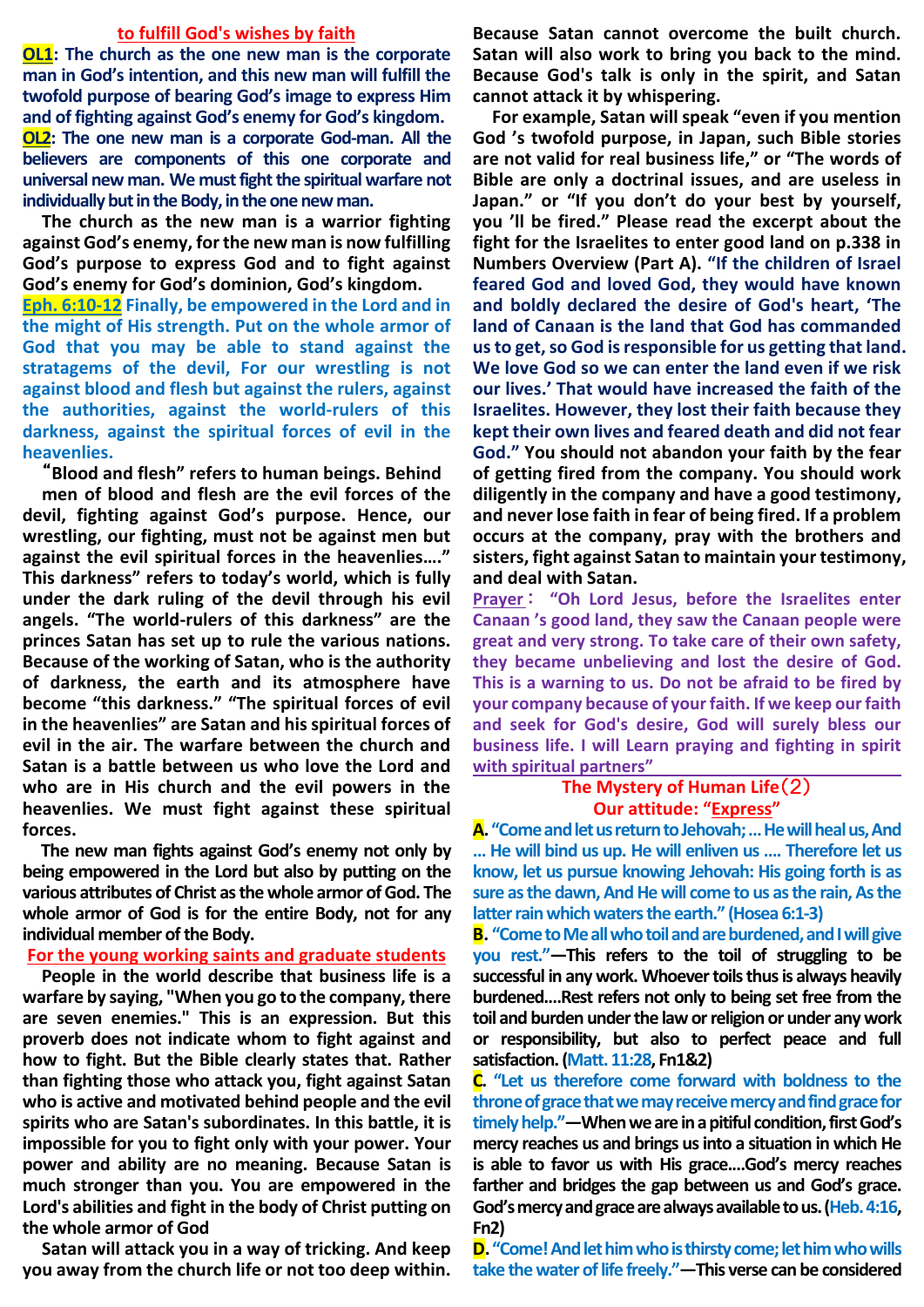#### **to fulfill God's wishes by faith**

**OL1: The church as the one new man is the corporate man in God's intention, and this new man will fulfill the twofold purpose of bearing God's image to express Him and of fighting against God's enemy for God's kingdom. OL2: The one new man is a corporate God-man. All the believers are components of this one corporate and universal new man. We must fight the spiritual warfare not**  individually but in the Body, in the one new man.

**The church as the new man is a warrior fighting against God's enemy, for the new man is now fulfilling God's purpose to express God and to fight against God's enemy for God's dominion, God's kingdom.**

**Eph. 6:10-12 Finally, be empowered in the Lord and in the might of His strength. Put on the whole armor of God that you may be able to stand against the stratagems of the devil, For our wrestling is not against blood and flesh but against the rulers, against the authorities, against the world-rulers of this darkness, against the spiritual forces of evil in the heavenlies.**

"**Blood and flesh" refers to human beings. Behind**

**men of blood and flesh are the evil forces of the devil, fighting against God's purpose. Hence, our wrestling, our fighting, must not be against men but against the evil spiritual forces in the heavenlies…." This darkness" refers to today's world, which is fully under the dark ruling of the devil through his evil angels. "The world-rulers of this darkness" are the princes Satan has set up to rule the various nations. Because of the working of Satan, who is the authority of darkness, the earth and its atmosphere have become "this darkness." "The spiritual forces of evil in the heavenlies" are Satan and his spiritual forces of evil in the air. The warfare between the church and Satan is a battle between us who love the Lord and who are in His church and the evil powers in the heavenlies. We must fight against these spiritual forces.**

**The new man fights against God's enemy not only by being empowered in the Lord but also by putting on the various attributes of Christ as the whole armor of God. The whole armor of God is for the entire Body, not for any individual member of the Body.**

### **For the young working saints and graduate students**

**People in the world describe that business life is a warfare by saying, "When you go to the company, there are seven enemies." This is an expression. But this proverb does not indicate whom to fight against and how to fight. But the Bible clearly states that. Rather than fighting those who attack you, fight against Satan who is active and motivated behind people and the evil spirits who are Satan's subordinates. In this battle, it is impossible for you to fight only with your power. Your power and ability are no meaning. Because Satan is much stronger than you. You are empowered in the Lord's abilities and fight in the body of Christ putting on the whole armor of God**

**Satan will attack you in a way of tricking. And keep you away from the church life or not too deep within.**

**Because Satan cannot overcome the built church. Satan will also work to bring you back to the mind. Because God's talk is only in the spirit, and Satan cannot attack it by whispering.**

**For example, Satan will speak "even if you mention God 's twofold purpose, in Japan, such Bible stories are not valid for real business life," or "The words of Bible are only a doctrinal issues, and are useless in Japan." or "If you don't do your best by yourself, you 'll be fired." Please read the excerpt about the fight for the Israelites to enter good land on p.338 in Numbers Overview (Part A). "If the children of Israel feared God and loved God, they would have known and boldly declared the desire of God's heart, 'The land of Canaan is the land that God has commanded us to get, so God is responsible for us getting that land. We love God so we can enter the land even if we risk our lives.' That would have increased the faith of the Israelites. However, they lost their faith because they kept their own lives and feared death and did not fear God." You should not abandon your faith by the fear of getting fired from the company. You should work diligently in the company and have a good testimony, and never lose faith in fear of being fired. If a problem occurs at the company, pray with the brothers and sisters, fight against Satan to maintain your testimony, and deal with Satan.**

**Prayer** : **"Oh Lord Jesus, before the Israelites enter Canaan 's good land, they saw the Canaan people were great and very strong. To take care of their own safety, they became unbelieving and lost the desire of God. This is a warning to us. Do not be afraid to be fired by your company because of your faith. If we keep ourfaith and seek for God's desire, God will surely bless our business life. I will Learn praying and fighting in spirit with spiritual partners"**

## **The Mystery of Human Life**(2) **Our attitude: "Express"**

**A. "Come and let us return to Jehovah; … He will heal us, And … He will bind us up. He will enliven us …. Therefore let us know, let us pursue knowing Jehovah: His going forth is as sure as the dawn, And He will come to us as the rain, As the latter rain which waters the earth." (Hosea 6:1-3)**

**B. "Come to Me all who toil and are burdened, and I will give you rest."—This refers to the toil of struggling to be successful in any work. Whoever toils thus is always heavily burdened.…Rest refers not only to being set free from the toil and burden under the law or religion or under any work or responsibility, but also to perfect peace and full satisfaction.(Matt. 11:28, Fn1&2)**

**C. "Let us therefore come forward with boldness to the throne of grace that we may receive mercy and find grace for timely help."—When we are in a pitiful condition, first God's mercy reaches us and brings us into a situation in which He is able to favor us with His grace.…God's mercy reaches farther and bridges the gap between us and God's grace. God's mercy and grace are always available to us.(Heb. 4:16, Fn2)**

**D."Come! And let him who is thirsty come; let him who wills take the water of life freely."—This verse can be considered**